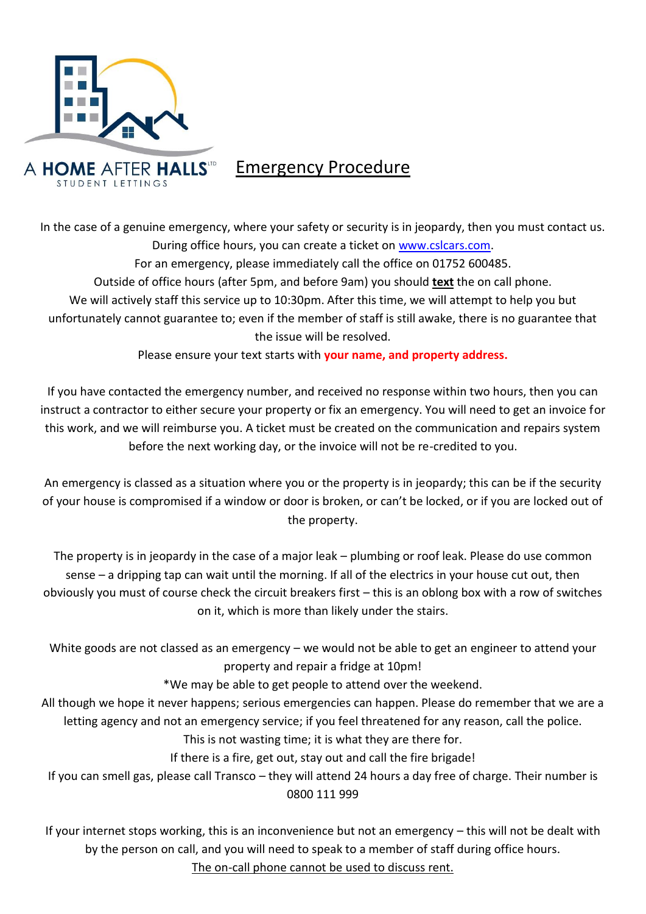

## Emergency Procedure

In the case of a genuine emergency, where your safety or security is in jeopardy, then you must contact us. During office hours, you can create a ticket on [www.cslcars.com.](http://www.cslcars.com/) For an emergency, please immediately call the office on 01752 600485. Outside of office hours (after 5pm, and before 9am) you should **text** the on call phone. We will actively staff this service up to 10:30pm. After this time, we will attempt to help you but unfortunately cannot guarantee to; even if the member of staff is still awake, there is no guarantee that the issue will be resolved.

Please ensure your text starts with **your name, and property address.**

If you have contacted the emergency number, and received no response within two hours, then you can instruct a contractor to either secure your property or fix an emergency. You will need to get an invoice for this work, and we will reimburse you. A ticket must be created on the communication and repairs system before the next working day, or the invoice will not be re-credited to you.

An emergency is classed as a situation where you or the property is in jeopardy; this can be if the security of your house is compromised if a window or door is broken, or can't be locked, or if you are locked out of the property.

The property is in jeopardy in the case of a major leak – plumbing or roof leak. Please do use common sense – a dripping tap can wait until the morning. If all of the electrics in your house cut out, then obviously you must of course check the circuit breakers first – this is an oblong box with a row of switches on it, which is more than likely under the stairs.

White goods are not classed as an emergency – we would not be able to get an engineer to attend your property and repair a fridge at 10pm!

\*We may be able to get people to attend over the weekend.

All though we hope it never happens; serious emergencies can happen. Please do remember that we are a letting agency and not an emergency service; if you feel threatened for any reason, call the police. This is not wasting time; it is what they are there for.

If there is a fire, get out, stay out and call the fire brigade!

If you can smell gas, please call Transco – they will attend 24 hours a day free of charge. Their number is 0800 111 999

If your internet stops working, this is an inconvenience but not an emergency – this will not be dealt with by the person on call, and you will need to speak to a member of staff during office hours.

The on-call phone cannot be used to discuss rent.